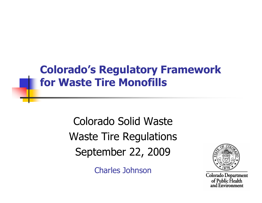#### Colorado's Regulatory Framework for Waste Tire Monofills

Colorado Solid Waste Waste Tire RegulationsSeptember 22, 2009

Charles Johnson



Colorado Department of Public Health<br>and Environment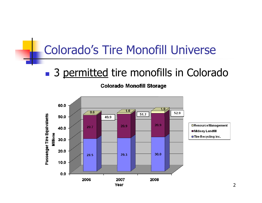#### Colorado's Tire Monofill Universe

#### **Service Service 3 permitted tire monofills in Colorado**

**Colorado Monofill Storage** 

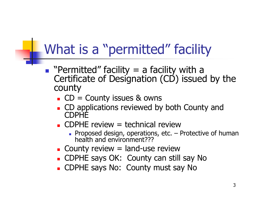#### What is a "permitted" facility

- **Paramitted"** facility = a facility with a Certificate of Designation ( $CD$ ) issued by the county
	- $\blacksquare$  CD  $\blacksquare$  CD = County issues & owns
	- П **CD** applications reviewed by both County and CDPHE
	- CDPHE review = technical reviewП
		- FIUDUSEU UESIUII, UDEI 4UUIIS, ELL. -Proposed design, operations, etc. – Protective of human health and environment???
	- П **Example 20 Tellish County review** = land-use review
	- CDPHE Savs OK: COUNtV Can St CDPHE says OK: County can still say No
	- П CDPHE says No: County must say No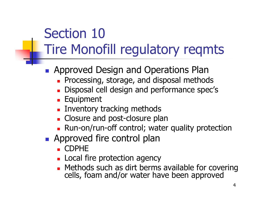- P. **Approved Design and Operations Plan** 
	- $\blacksquare$  Processing, storage, and disposal metho **Processing, storage, and disposal methods**
	- П **Disposal cell design and performance spec's**
	- m. **Equipment**
	- П **Example 12 Inventory tracking methods**
	- П **Example 2 Closure plan**
	- Run-on/run-off control: wate Run-on/run-off control; water quality protection
- **Approved fire control plan** 
	- П CDPHE
	- **Local Local fire protection agency**
	- П Methods such as dirt berms available for covering cells, foam and/or water have been approved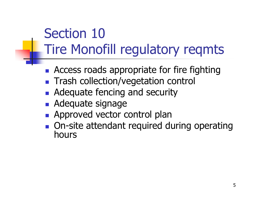- P. **Access roads appropriate for fire fighting**
- **Trash collection/vegetation control**
- **Adequate fencing and security**
- **Adequate signage**
- **Approved vector Approved vector control plan**
- On-site attendant required o On-site attendant required during operating<br>hours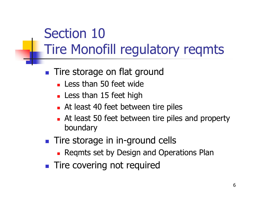- **Tire storage on flat ground** 
	- П **Less than 50 feet wide**
	- П **Less than 15 feet high**
	- П **At least 40 feet between tire piles**
	- П **At least 50 feet between tire piles and property** boundary
- **Tire storage in in-ground cells** 
	- П **Reqmts set by Design and Operations Plan**
- **Tire covering not required**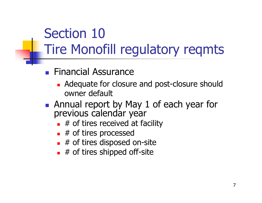- **Financial Assurance** 
	- П **Adequate for closure and post-closure should** owner default
- M **Annual report by May 1 of each year for** previous calendar year
	- П  $\blacksquare$  # of tires received at facility
	- П  $\blacksquare$  # of tires processed
	- $\blacksquare$  # of tires disposed  $\blacksquare$  # of tires disposed on-site
	- $\Box$  # of tires shipped off-site  $\blacksquare$  # of tires shipped off-site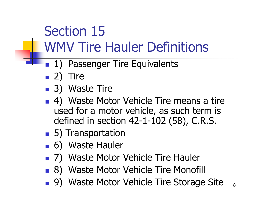## Section 15WMV Tire Hauler Definitions

- P. **1) Passenger Tire Equivalents**
- 2) Tire
- 3) Waste Tire
- P. **4)** Waste Motor Vehicle Tire means a tire used for a motor vehicle, as such term is defined in section 42-1-102 (58), C.R.S.
- M ■ 5) Transportation
- 6) Waste Hauler
- 7) Waste Motor Vehicle Tire Hauler
- M ■ 8) Waste Motor Vehicle Tire Monofill
- 89) Waste Motor Vehicle Tire Storage Site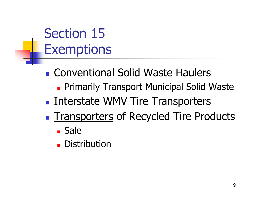Section 15Exemptions

- **Service Service Exercise Conventional Solid Waste Haulers** 
	- **Primarily Transport Municipal Solid Waste**
- **Service Service Interstate WMV Tire Transporters**
- **Service Service The Transporters of Recycled Tire Products** 
	- Sale
	- $\overline{\phantom{a}}$ **Distribution**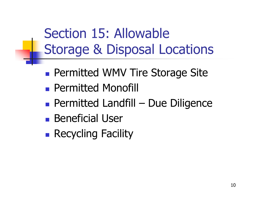Section 15: AllowableStorage & Disposal Locations

- **Service Service Permitted WMV Tire Storage Site**
- **Service Service Permitted Monofill**
- **Service Service Permitted Landfill – Due Diligence**<br>Repetisiel Lleer
- **Service Service Beneficial User**
- **Service Service Recycling Facility**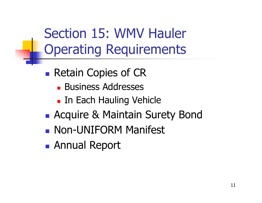Section 15: WMV Hauler Operating Requirements

- **Service Service Retain Copies of CR** 
	- **Business Addresses**
	- **Each Hauling Vehicle**
- **Service Service Acquire & Maintain Surety Bond**
- **Service Service Non-UNIFORM Manifest**
- **Service Service** Annual Report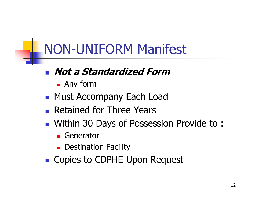## NON-UNIFORM Manifest

#### Not a Standardized Form

- П Any form
- **Reading Must Accompany Each Load**
- **Retained for Three Years**
- M Within 30 Days of Possession Provide to :
	- П **Generator**
	- m. **Destination Facility**
- P. ■ Copies to CDPHE Upon Request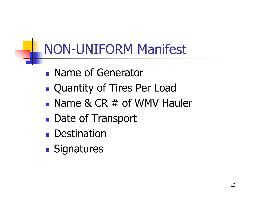# NON-UNIFORM Manifest

- **Service Service Name of Generator**
- **Service Service Quantity of Tires Per Load**
- **Service Service** ■ Name & CR # of WMV Hauler
- **Service Service** ■ Date of Transport
- **Service Service Destination**
- **Service Service Signatures**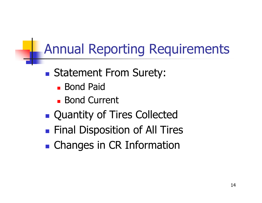## Annual Reporting Requirements

- **Service Service** ■ Statement From Surety:
	- **Bond Paid**
	- Bond Current
- **Service Service Quantity of Tires Collected**
- **Service Service Final Disposition of All Tires**
- **Service Service • Changes in CR Information**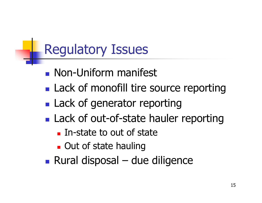# Regulatory Issues

- **Service Service Reading Manders** Mon-Uniform manifest
- **Service Service Lack of monofill tire source reporting**
- **Service Service Lack of generator reporting**
- **Service Service Lack of out-of-state hauler reporting** 
	- In-state to out of state
	- **Out of state hauling**
- **Service Service** Rural disposal – due diligence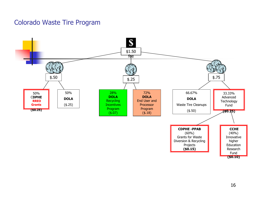#### Colorado Waste Tire Program

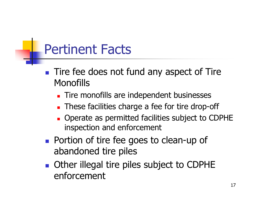#### Pertinent Facts

- **Tire fee does not fund any aspect of Tire Monofills** 
	- П **Tire monofills are independent businesses**
	- П **These facilities charge a fee for tire drop-off**
	- П **Operate as permitted facilities subject to CDPHE** inspection and enforcement
- **Portion of tire fee goes to clean-up of** abandoned tire piles
- **Other illegal tire piles subject to CDPHE** enforcement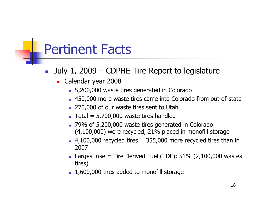#### Pertinent Facts

- F. July 1, 2009 – CDPHE Tire Report to legislature
	- ▛ ■ Calendar year 2008
		- 5,200,000 waste tires generated in Colorado
		- 450,000 more waste tires came into Colorado from out-of-state
		- 270,000 of our waste tires sent to Utah
		- Total = 5,700,000 waste tires handled
		- 79% of 5,200,000 waste tires generated in Colorado (4,100,000) were recycled, 21% placed in monofill storage
		- $\blacksquare$  4,100,000 recycled tires = 355,000 more recycled tires than in 2007
		- **Largest use = Tire Derived Fuel (TDF);**  $51\%$  **(2,100,000 wastes** tires)
		- 1,600,000 tires added to monofill storage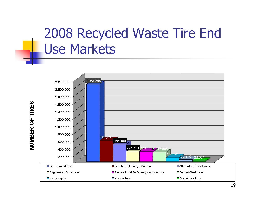#### 2008 Recycled Waste Tire End Use Markets



NUMBER OF TIRES

19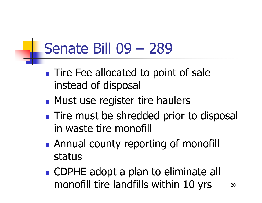# Senate Bill 09 – <sup>289</sup>

- **Service Service Tire Fee allocated to point of sale** instead of disposal
- **Service Service • Must use register tire haulers**
- **Service Service Tire must be shredded prior to disposal** in waste tire monofill
- **Service Service Annual county reporting of monofill** status
- 20**CDPHE adopt a plan to eliminate all** monofill tire landfills within 10 yrs